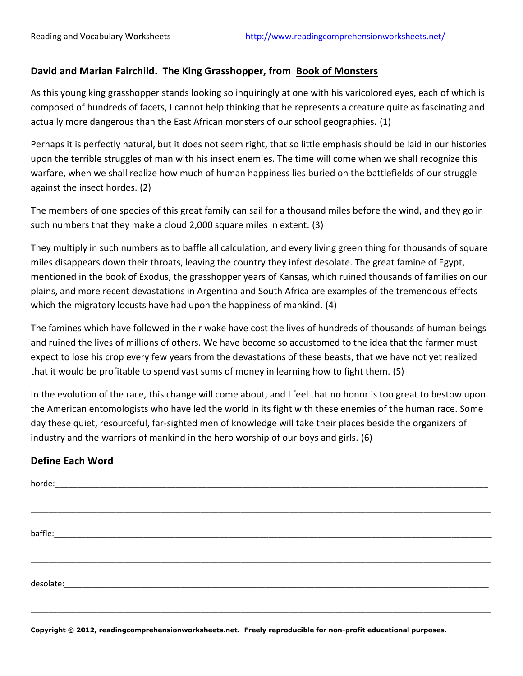## **David and Marian Fairchild. The King Grasshopper, from Book of Monsters**

As this young king grasshopper stands looking so inquiringly at one with his varicolored eyes, each of which is composed of hundreds of facets, I cannot help thinking that he represents a creature quite as fascinating and actually more dangerous than the East African monsters of our school geographies. (1)

Perhaps it is perfectly natural, but it does not seem right, that so little emphasis should be laid in our histories upon the terrible struggles of man with his insect enemies. The time will come when we shall recognize this warfare, when we shall realize how much of human happiness lies buried on the battlefields of our struggle against the insect hordes. (2)

The members of one species of this great family can sail for a thousand miles before the wind, and they go in such numbers that they make a cloud 2,000 square miles in extent. (3)

They multiply in such numbers as to baffle all calculation, and every living green thing for thousands of square miles disappears down their throats, leaving the country they infest desolate. The great famine of Egypt, mentioned in the book of Exodus, the grasshopper years of Kansas, which ruined thousands of families on our plains, and more recent devastations in Argentina and South Africa are examples of the tremendous effects which the migratory locusts have had upon the happiness of mankind. (4)

The famines which have followed in their wake have cost the lives of hundreds of thousands of human beings and ruined the lives of millions of others. We have become so accustomed to the idea that the farmer must expect to lose his crop every few years from the devastations of these beasts, that we have not yet realized that it would be profitable to spend vast sums of money in learning how to fight them. (5)

In the evolution of the race, this change will come about, and I feel that no honor is too great to bestow upon the American entomologists who have led the world in its fight with these enemies of the human race. Some day these quiet, resourceful, far-sighted men of knowledge will take their places beside the organizers of industry and the warriors of mankind in the hero worship of our boys and girls. (6)

## **Define Each Word**